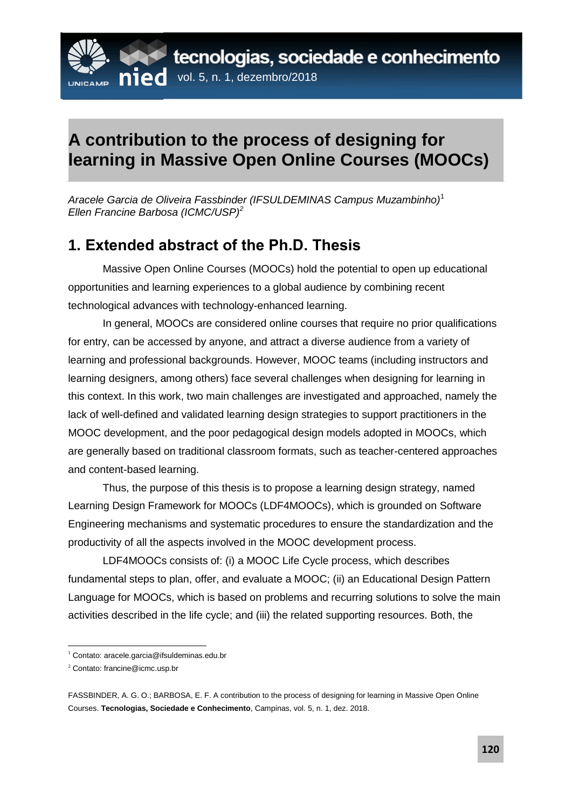

## **A contribution to the process of designing for learning in Massive Open Online Courses (MOOCs)**

*Aracele Garcia de Oliveira Fassbinder (IFSULDEMINAS Campus Muzambinho)*<sup>1</sup> *Ellen Francine Barbosa (ICMC/USP)<sup>2</sup>*

## **1. Extended abstract of the Ph.D. Thesis**

Massive Open Online Courses (MOOCs) hold the potential to open up educational opportunities and learning experiences to a global audience by combining recent technological advances with technology-enhanced learning.

In general, MOOCs are considered online courses that require no prior qualifications for entry, can be accessed by anyone, and attract a diverse audience from a variety of learning and professional backgrounds. However, MOOC teams (including instructors and learning designers, among others) face several challenges when designing for learning in this context. In this work, two main challenges are investigated and approached, namely the lack of well-defined and validated learning design strategies to support practitioners in the MOOC development, and the poor pedagogical design models adopted in MOOCs, which are generally based on traditional classroom formats, such as teacher-centered approaches and content-based learning.

Thus, the purpose of this thesis is to propose a learning design strategy, named Learning Design Framework for MOOCs (LDF4MOOCs), which is grounded on Software Engineering mechanisms and systematic procedures to ensure the standardization and the productivity of all the aspects involved in the MOOC development process.

LDF4MOOCs consists of: (i) a MOOC Life Cycle process, which describes fundamental steps to plan, offer, and evaluate a MOOC; (ii) an Educational Design Pattern Language for MOOCs, which is based on problems and recurring solutions to solve the main activities described in the life cycle; and (iii) the related supporting resources. Both, the

 $\overline{a}$ 

<sup>1</sup> Contato: aracele.garcia@ifsuldeminas.edu.br

<sup>2</sup> Contato: francine@icmc.usp.br

FASSBINDER, A. G. O.; BARBOSA, E. F. A contribution to the process of designing for learning in Massive Open Online Courses. **Tecnologias, Sociedade e Conhecimento**, Campinas, vol. 5, n. 1, dez. 2018.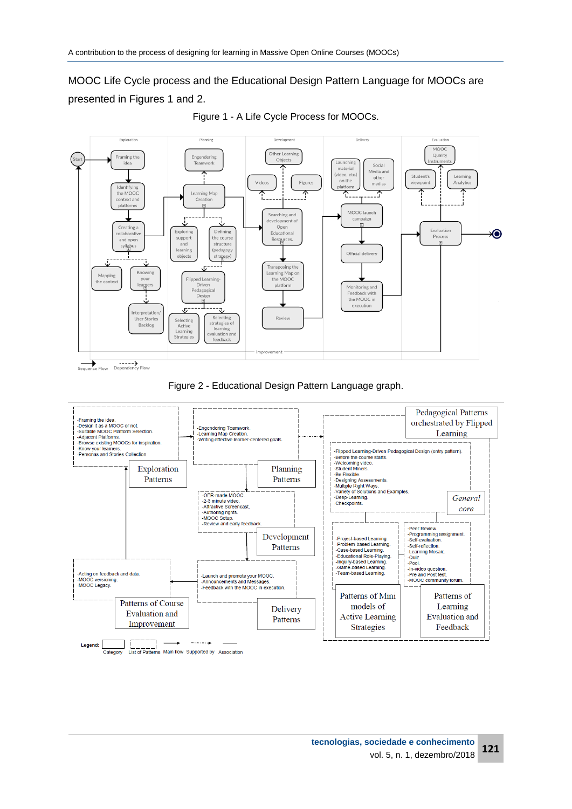MOOC Life Cycle process and the Educational Design Pattern Language for MOOCs are presented in Figures 1 and 2.





Figure 2 - Educational Design Pattern Language graph.

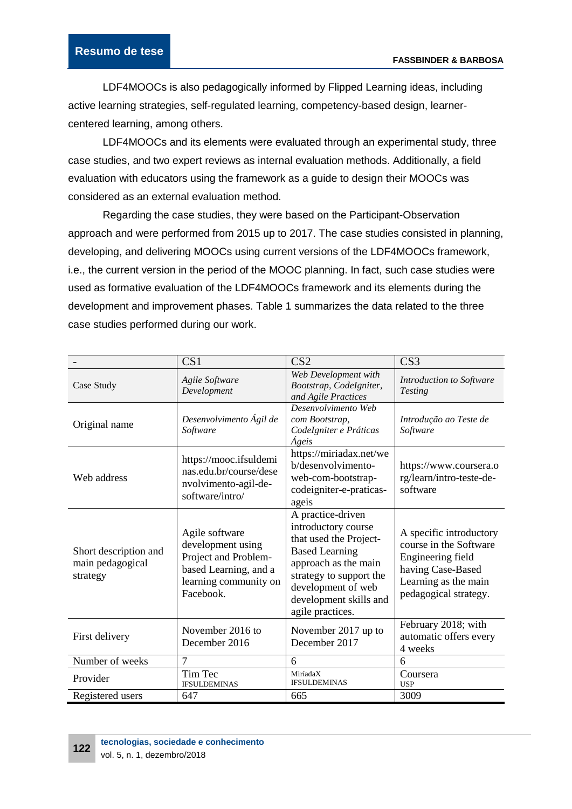LDF4MOOCs is also pedagogically informed by Flipped Learning ideas, including active learning strategies, self-regulated learning, competency-based design, learnercentered learning, among others.

LDF4MOOCs and its elements were evaluated through an experimental study, three case studies, and two expert reviews as internal evaluation methods. Additionally, a field evaluation with educators using the framework as a guide to design their MOOCs was considered as an external evaluation method.

Regarding the case studies, they were based on the Participant-Observation approach and were performed from 2015 up to 2017. The case studies consisted in planning, developing, and delivering MOOCs using current versions of the LDF4MOOCs framework, i.e., the current version in the period of the MOOC planning. In fact, such case studies were used as formative evaluation of the LDF4MOOCs framework and its elements during the development and improvement phases. Table 1 summarizes the data related to the three case studies performed during our work.

|                                                       | CS <sub>1</sub>                                                                                                            | CS <sub>2</sub>                                                                                                                                                                                                    | CS <sub>3</sub>                                                                                                                              |
|-------------------------------------------------------|----------------------------------------------------------------------------------------------------------------------------|--------------------------------------------------------------------------------------------------------------------------------------------------------------------------------------------------------------------|----------------------------------------------------------------------------------------------------------------------------------------------|
| Case Study                                            | Agile Software<br>Development                                                                                              | Web Development with<br>Bootstrap, CodeIgniter,<br>and Agile Practices                                                                                                                                             | Introduction to Software<br><b>Testing</b>                                                                                                   |
| Original name                                         | Desenvolvimento Ágil de<br>Software                                                                                        | Desenvolvimento Web<br>com Bootstrap,<br>CodeIgniter e Práticas<br>Ágeis                                                                                                                                           | Introdução ao Teste de<br>Software                                                                                                           |
| Web address                                           | https://mooc.ifsuldemi<br>nas.edu.br/course/dese<br>nvolvimento-agil-de-<br>software/intro/                                | https://miriadax.net/we<br>b/desenvolvimento-<br>web-com-bootstrap-<br>codeigniter-e-praticas-<br>ageis                                                                                                            | https://www.coursera.o<br>rg/learn/intro-teste-de-<br>software                                                                               |
| Short description and<br>main pedagogical<br>strategy | Agile software<br>development using<br>Project and Problem-<br>based Learning, and a<br>learning community on<br>Facebook. | A practice-driven<br>introductory course<br>that used the Project-<br><b>Based Learning</b><br>approach as the main<br>strategy to support the<br>development of web<br>development skills and<br>agile practices. | A specific introductory<br>course in the Software<br>Engineering field<br>having Case-Based<br>Learning as the main<br>pedagogical strategy. |
| First delivery                                        | November 2016 to<br>December 2016                                                                                          | November 2017 up to<br>December 2017                                                                                                                                                                               | February 2018; with<br>automatic offers every<br>4 weeks                                                                                     |
| Number of weeks                                       | $\overline{7}$                                                                                                             | 6                                                                                                                                                                                                                  | 6                                                                                                                                            |
| Provider                                              | Tim Tec<br><b>IFSULDEMINAS</b>                                                                                             | MiríadaX<br><b>IFSULDEMINAS</b>                                                                                                                                                                                    | Coursera<br><b>USP</b>                                                                                                                       |
| Registered users                                      | 647                                                                                                                        | 665                                                                                                                                                                                                                | 3009                                                                                                                                         |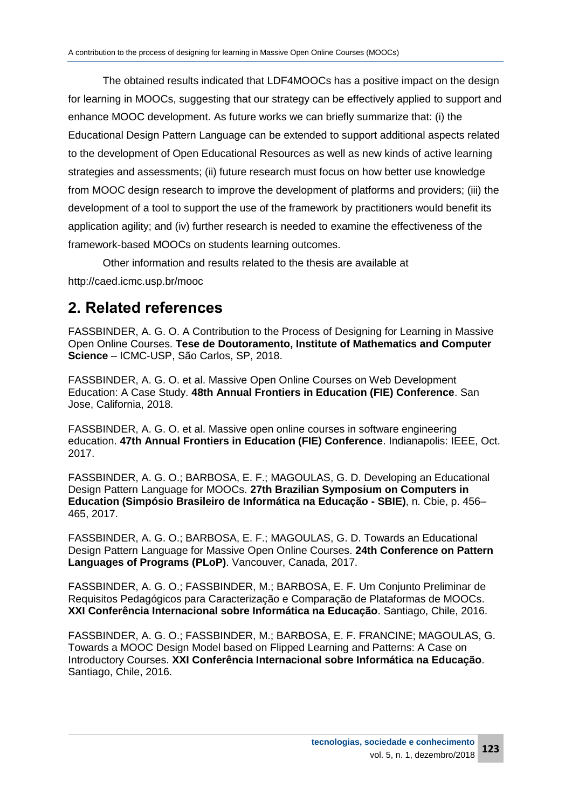The obtained results indicated that LDF4MOOCs has a positive impact on the design for learning in MOOCs, suggesting that our strategy can be effectively applied to support and enhance MOOC development. As future works we can briefly summarize that: (i) the Educational Design Pattern Language can be extended to support additional aspects related to the development of Open Educational Resources as well as new kinds of active learning strategies and assessments; (ii) future research must focus on how better use knowledge from MOOC design research to improve the development of platforms and providers; (iii) the development of a tool to support the use of the framework by practitioners would benefit its application agility; and (iv) further research is needed to examine the effectiveness of the framework-based MOOCs on students learning outcomes.

Other information and results related to the thesis are available at

http://caed.icmc.usp.br/mooc

## **2. Related references**

FASSBINDER, A. G. O. A Contribution to the Process of Designing for Learning in Massive Open Online Courses. **Tese de Doutoramento, Institute of Mathematics and Computer Science** – ICMC-USP, São Carlos, SP, 2018.

FASSBINDER, A. G. O. et al. Massive Open Online Courses on Web Development Education: A Case Study. **48th Annual Frontiers in Education (FIE) Conference**. San Jose, California, 2018.

FASSBINDER, A. G. O. et al. Massive open online courses in software engineering education. **47th Annual Frontiers in Education (FIE) Conference**. Indianapolis: IEEE, Oct. 2017.

FASSBINDER, A. G. O.; BARBOSA, E. F.; MAGOULAS, G. D. Developing an Educational Design Pattern Language for MOOCs. **27th Brazilian Symposium on Computers in Education (Simpósio Brasileiro de Informática na Educação - SBIE)**, n. Cbie, p. 456– 465, 2017.

FASSBINDER, A. G. O.; BARBOSA, E. F.; MAGOULAS, G. D. Towards an Educational Design Pattern Language for Massive Open Online Courses. **24th Conference on Pattern Languages of Programs (PLoP)**. Vancouver, Canada, 2017.

FASSBINDER, A. G. O.; FASSBINDER, M.; BARBOSA, E. F. Um Conjunto Preliminar de Requisitos Pedagógicos para Caracterização e Comparação de Plataformas de MOOCs. **XXI Conferência Internacional sobre Informática na Educação**. Santiago, Chile, 2016.

FASSBINDER, A. G. O.; FASSBINDER, M.; BARBOSA, E. F. FRANCINE; MAGOULAS, G. Towards a MOOC Design Model based on Flipped Learning and Patterns: A Case on Introductory Courses. **XXI Conferência Internacional sobre Informática na Educação**. Santiago, Chile, 2016.